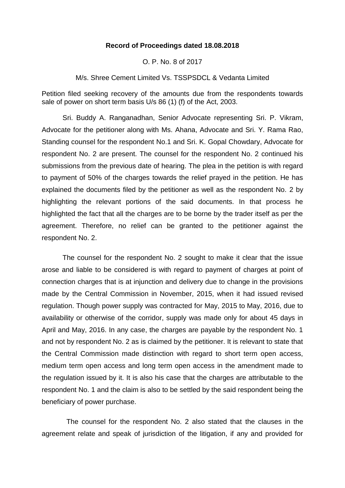## **Record of Proceedings dated 18.08.2018**

O. P. No. 8 of 2017

M/s. Shree Cement Limited Vs. TSSPSDCL & Vedanta Limited

Petition filed seeking recovery of the amounts due from the respondents towards sale of power on short term basis U/s 86 (1) (f) of the Act, 2003.

Sri. Buddy A. Ranganadhan, Senior Advocate representing Sri. P. Vikram, Advocate for the petitioner along with Ms. Ahana, Advocate and Sri. Y. Rama Rao, Standing counsel for the respondent No.1 and Sri. K. Gopal Chowdary, Advocate for respondent No. 2 are present. The counsel for the respondent No. 2 continued his submissions from the previous date of hearing. The plea in the petition is with regard to payment of 50% of the charges towards the relief prayed in the petition. He has explained the documents filed by the petitioner as well as the respondent No. 2 by highlighting the relevant portions of the said documents. In that process he highlighted the fact that all the charges are to be borne by the trader itself as per the agreement. Therefore, no relief can be granted to the petitioner against the respondent No. 2.

The counsel for the respondent No. 2 sought to make it clear that the issue arose and liable to be considered is with regard to payment of charges at point of connection charges that is at injunction and delivery due to change in the provisions made by the Central Commission in November, 2015, when it had issued revised regulation. Though power supply was contracted for May, 2015 to May, 2016, due to availability or otherwise of the corridor, supply was made only for about 45 days in April and May, 2016. In any case, the charges are payable by the respondent No. 1 and not by respondent No. 2 as is claimed by the petitioner. It is relevant to state that the Central Commission made distinction with regard to short term open access, medium term open access and long term open access in the amendment made to the regulation issued by it. It is also his case that the charges are attributable to the respondent No. 1 and the claim is also to be settled by the said respondent being the beneficiary of power purchase.

The counsel for the respondent No. 2 also stated that the clauses in the agreement relate and speak of jurisdiction of the litigation, if any and provided for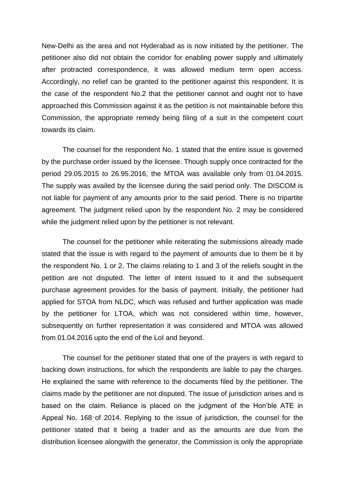New-Delhi as the area and not Hyderabad as is now initiated by the petitioner. The petitioner also did not obtain the corridor for enabling power supply and ultimately after protracted correspondence, it was allowed medium term open access. Accordingly, no relief can be granted to the petitioner against this respondent. It is the case of the respondent No.2 that the petitioner cannot and ought not to have approached this Commission against it as the petition is not maintainable before this Commission, the appropriate remedy being filing of a suit in the competent court towards its claim.

The counsel for the respondent No. 1 stated that the entire issue is governed by the purchase order issued by the licensee. Though supply once contracted for the period 29.05.2015 to 26.95.2016, the MTOA was available only from 01.04.2015. The supply was availed by the licensee during the said period only. The DISCOM is not liable for payment of any amounts prior to the said period. There is no tripartite agreement. The judgment relied upon by the respondent No. 2 may be considered while the judgment relied upon by the petitioner is not relevant.

The counsel for the petitioner while reiterating the submissions already made stated that the issue is with regard to the payment of amounts due to them be it by the respondent No. 1 or 2. The claims relating to 1 and 3 of the reliefs sought in the petition are not disputed. The letter of intent issued to it and the subsequent purchase agreement provides for the basis of payment. Initially, the petitioner had applied for STOA from NLDC, which was refused and further application was made by the petitioner for LTOA, which was not considered within time, however, subsequently on further representation it was considered and MTOA was allowed from 01.04.2016 upto the end of the LoI and beyond.

The counsel for the petitioner stated that one of the prayers is with regard to backing down instructions, for which the respondents are liable to pay the charges. He explained the same with reference to the documents filed by the petitioner. The claims made by the petitioner are not disputed. The issue of jurisdiction arises and is based on the claim. Reliance is placed on the judgment of the Hon'ble ATE in Appeal No. 168 of 2014. Replying to the issue of jurisdiction, the counsel for the petitioner stated that it being a trader and as the amounts are due from the distribution licensee alongwith the generator, the Commission is only the appropriate